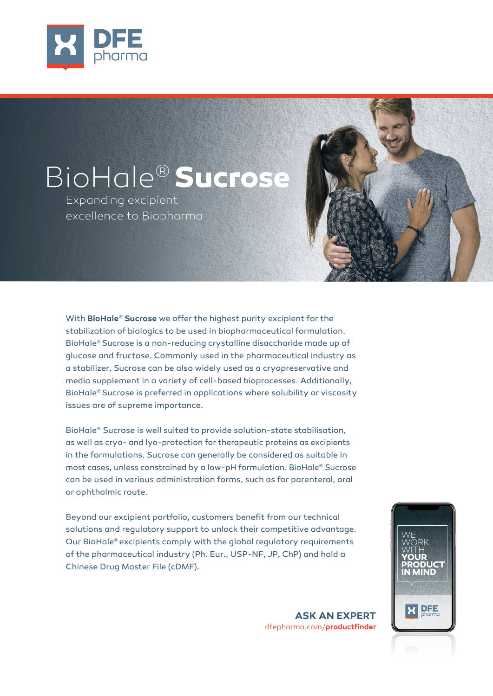

# BioHale® **Sucrose**

Expanding excipient excellence to Biopharma

With **BioHale® Sucrose** we offer the highest purity excipient for the stabilization of biologics to be used in biopharmaceutical formulation. BioHale® Sucrose is a non-reducing crystalline disaccharide made up of glucose and fructose. Commonly used in the pharmaceutical industry as a stabilizer, Sucrose can be also widely used as a cryopreservative and media supplement in a variety of cell-based bioprocesses. Additionally, BioHale® Sucrose is preferred in applications where solubility or viscosity issues are of supreme importance.

BioHale® Sucrose is well suited to provide solution-state stabilisation, as well as cryo- and lyo-protection for therapeutic proteins as excipients in the formulations. Sucrose can generally be considered as suitable in most cases, unless constrained by a low-pH formulation. BioHale® Sucrose can be used in various administration forms, such as for parenteral, oral or ophthalmic route.

Beyond our excipient portfolio, customers benefit from our technical solutions and regulatory support to unlock their competitive advantage. Our BioHale® excipients comply with the global regulatory requirements of the pharmaceutical industry (Ph. Eur., USP-NF, JP, ChP) and hold a Chinese Drug Master File (cDMF).

**WE** WORK **WITH YOUR PRODUCT IN MIND DFE** 

**ASK AN EXPERT**  dfepharma.com/**productfinder**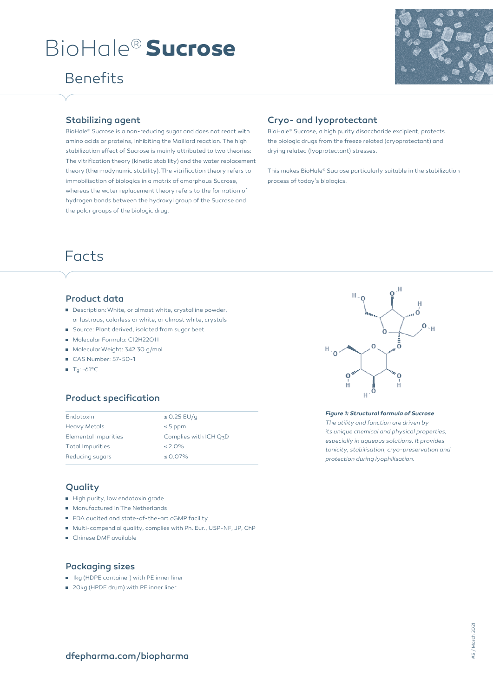# BioHale® **Sucrose**

### Benefits



#### Stabilizing agent

BioHale® Sucrose is a non-reducing sugar and does not react with amino acids or proteins, inhibiting the Maillard reaction. The high stabilization effect of Sucrose is mainly attributed to two theories: The vitrification theory (kinetic stability) and the water replacement theory (thermodynamic stability). The vitrification theory refers to immobilisation of biologics in a matrix of amorphous Sucrose, whereas the water replacement theory refers to the formation of hydrogen bonds between the hydroxyl group of the Sucrose and the polar groups of the biologic drug.

#### Cryo- and lyoprotectant

BioHale® Sucrose, a high purity disaccharide excipient, protects the biologic drugs from the freeze related (cryoprotectant) and drying related (lyoprotectant) stresses.

This makes BioHale® Sucrose particularly suitable in the stabilization process of today's biologics.

### Facts

#### Product data

- Description: White, or almost white, crystalline powder, or lustrous, colorless or white, or almost white, crystals
- Source: Plant derived, isolated from sugar beet
- Molecular Formula: C12H22O11
- Molecular Weight: 342.30 g/mol
- CAS Number: 57-50-1
- $T<sub>g</sub>: ~61^{\circ}C$

#### Product specification

| Endotoxin                   | $\leq$ 0.25 EU/q         |
|-----------------------------|--------------------------|
| <b>Heavy Metals</b>         | $\leq$ 5 ppm             |
| <b>Elemental Impurities</b> | Complies with ICH $Q_7D$ |
| <b>Total Impurities</b>     | $\leq 2.0\%$             |
| Reducing sugars             | $\leq$ 0.07%             |

#### Quality

- High purity, low endotoxin grade
- **Manufactured in The Netherlands**
- FDA audited and state-of-the-art cGMP facility
- Multi-compendial quality, complies with Ph. Eur., USP-NF, JP, ChP
- Chinese DMF available

#### Packaging sizes

- 1kg (HDPE container) with PE inner liner
- 20kg (HPDE drum) with PE inner liner



#### *Figure 1: Structural formula of Sucrose The utility and function are driven by its unique chemical and physical properties, especially in aqueous solutions. It provides tonicity, stabilisation, cryo-preservation and protection during lyophilisation.*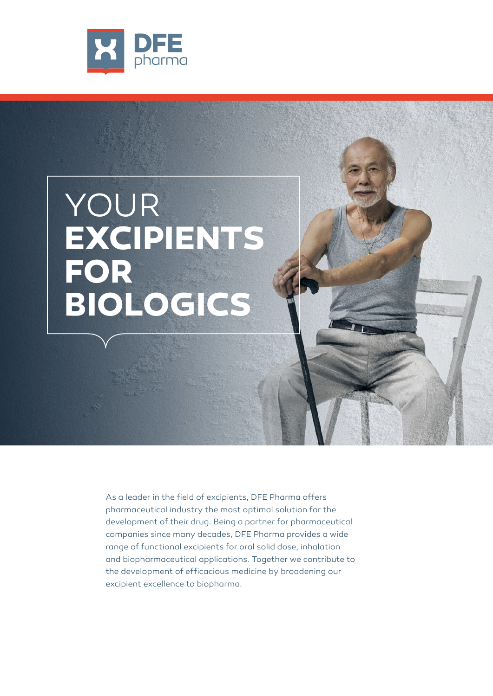

# YOUR **EXCIPIENTS FOR BIOLOGICS**

As a leader in the field of excipients, DFE Pharma offers pharmaceutical industry the most optimal solution for the development of their drug. Being a partner for pharmaceutical companies since many decades, DFE Pharma provides a wide range of functional excipients for oral solid dose, inhalation and biopharmaceutical applications. Together we contribute to the development of efficacious medicine by broadening our excipient excellence to biopharma.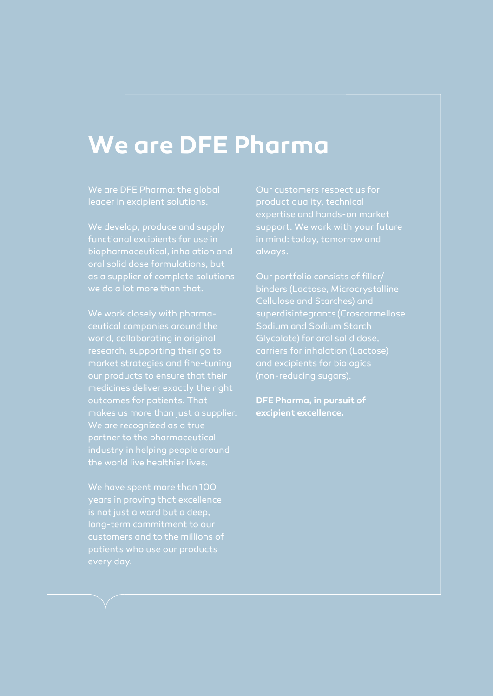## **We are DFE Pharma**

We are DFE Pharma: the global leader in excipient solutions.

We develop, produce and supply functional excipients for use in biopharmaceutical, inhalation and as a supplier of complete solutions

ceutical companies around the world, collaborating in original research, supporting their go to market strategies and fine-tuning medicines deliver exactly the right makes us more than just a supplier. industry in helping people around the world live healthier lives.

We have spent more than 100 is not just a word but a deep,

Our customers respect us for expertise and hands-on market support. We work with your future in mind: today, tomorrow and

binders (Lactose, Microcrystalline superdisintegrants (Croscarmellose carriers for inhalation (Lactose) and excipients for biologics

**DFE Pharma, in pursuit of excipient excellence.**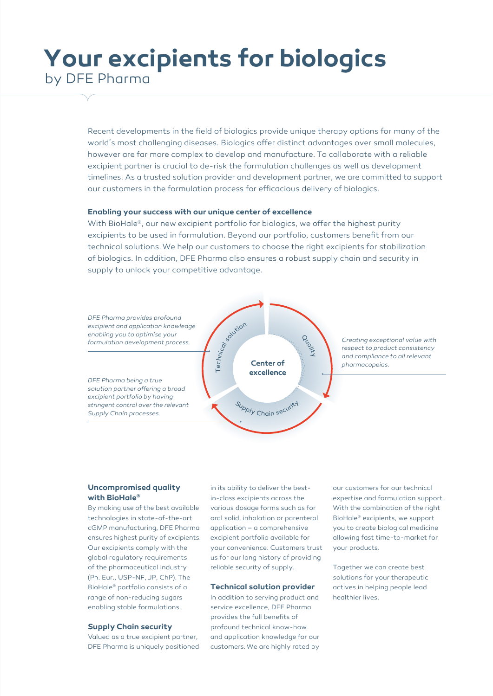## **Your excipients for biologics**  by DFE Pharma

Recent developments in the field of biologics provide unique therapy options for many of the world's most challenging diseases. Biologics offer distinct advantages over small molecules, however are far more complex to develop and manufacture. To collaborate with a reliable excipient partner is crucial to de-risk the formulation challenges as well as development timelines. As a trusted solution provider and development partner, we are committed to support our customers in the formulation process for efficacious delivery of biologics.

#### **Enabling your success with our unique center of excellence**

With BioHale®, our new excipient portfolio for biologics, we offer the highest purity excipients to be used in formulation. Beyond our portfolio, customers benefit from our technical solutions. We help our customers to choose the right excipients for stabilization of biologics. In addition, DFE Pharma also ensures a robust supply chain and security in supply to unlock your competitive advantage.



#### **Uncompromised quality with BioHale®**

By making use of the best available technologies in state-of-the-art cGMP manufacturing, DFE Pharma ensures highest purity of excipients. Our excipients comply with the global regulatory requirements of the pharmaceutical industry (Ph. Eur., USP-NF, JP, ChP). The BioHale® portfolio consists of a range of non-reducing sugars enabling stable formulations.

#### **Supply Chain security**

Valued as a true excipient partner, DFE Pharma is uniquely positioned in its ability to deliver the bestin-class excipients across the various dosage forms such as for oral solid, inhalation or parenteral application – a comprehensive excipient portfolio available for your convenience. Customers trust us for our long history of providing reliable security of supply.

#### **Technical solution provider**

In addition to serving product and service excellence, DFE Pharma provides the full benefits of profound technical know-how and application knowledge for our customers. We are highly rated by

our customers for our technical expertise and formulation support. With the combination of the right BioHale® excipients, we support you to create biological medicine allowing fast time-to-market for your products.

Together we can create best solutions for your therapeutic actives in helping people lead healthier lives.